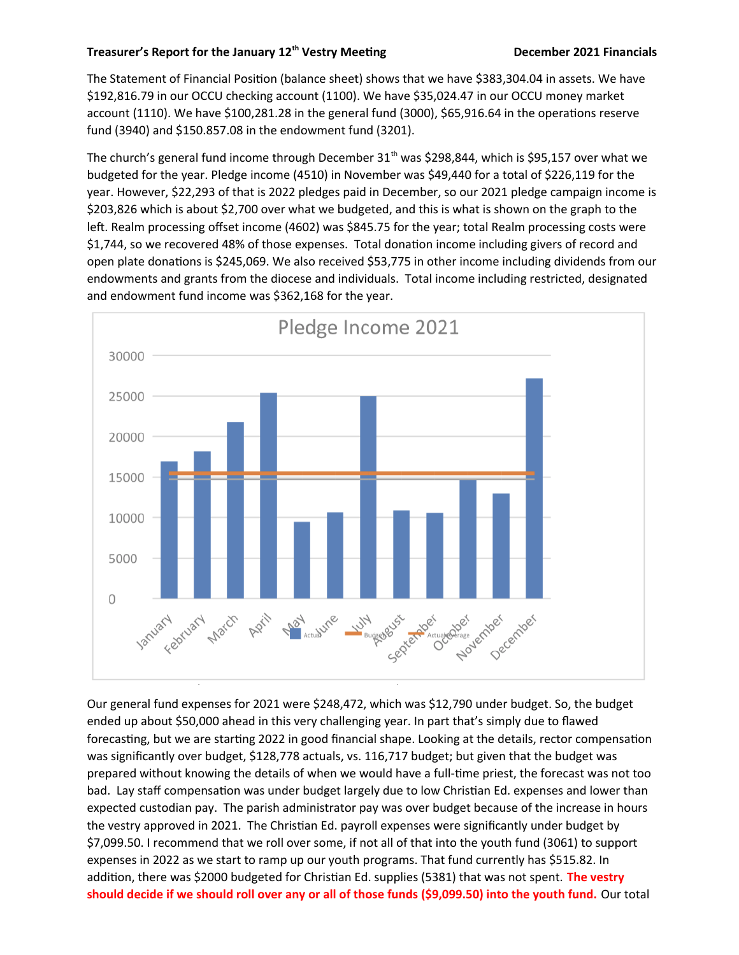## **Treasurer's Report for the January 12th Vestry Meetng December 2021 Financials**

The Statement of Financial Positon (balance sheet) shows that we have \$383,304.04 in assets. We have \$192,816.79 in our OCCU checking account (1100). We have \$35,024.47 in our OCCU money market account (1110). We have \$100,281.28 in the general fund (3000), \$65,916.64 in the operations reserve fund (3940) and \$150.857.08 in the endowment fund (3201).

The church's general fund income through December 31<sup>th</sup> was \$298,844, which is \$95,157 over what we budgeted for the year. Pledge income (4510) in November was \$49,440 for a total of \$226,119 for the year. However, \$22,293 of that is 2022 pledges paid in December, so our 2021 pledge campaign income is \$203,826 which is about \$2,700 over what we budgeted, and this is what is shown on the graph to the left. Realm processing offset income (4602) was \$845.75 for the year; total Realm processing costs were \$1,744, so we recovered 48% of those expenses. Total donation income including givers of record and open plate donations is \$245,069. We also received \$53,775 in other income including dividends from our endowments and grants from the diocese and individuals. Total income including restricted, designated and endowment fund income was \$362,168 for the year.



Our general fund expenses for 2021 were \$248,472, which was \$12,790 under budget. So, the budget ended up about \$50,000 ahead in this very challenging year. In part that's simply due to fawed forecasting, but we are starting 2022 in good financial shape. Looking at the details, rector compensation was signifcantly over budget, \$128,778 actuals, vs. 116,717 budget; but given that the budget was prepared without knowing the details of when we would have a full-tme priest, the forecast was not too bad. Lay staff compensation was under budget largely due to low Christian Ed. expenses and lower than expected custodian pay. The parish administrator pay was over budget because of the increase in hours the vestry approved in 2021. The Christian Ed. payroll expenses were significantly under budget by \$7,099.50. I recommend that we roll over some, if not all of that into the youth fund (3061) to support expenses in 2022 as we start to ramp up our youth programs. That fund currently has \$515.82. In additon, there was \$2000 budgeted for Christan Ed. supplies (5381) that was not spent. **The vestry should decide if we should roll over any or all of those funds (\$9,099.50) into the youth fund.** Our total